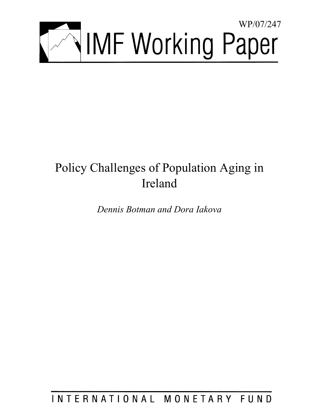

# Policy Challenges of Population Aging in Ireland

*Dennis Botman and Dora Iakova* 

INTERNATIONAL MONETARY FUND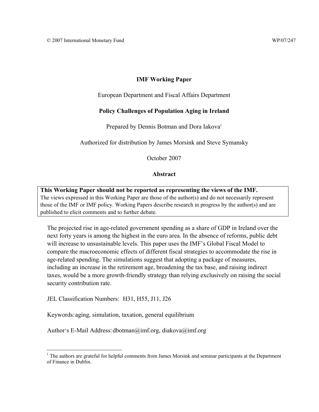# **IMF Working Paper**

European Department and Fiscal Affairs Department

## **Policy Challenges of Population Aging in Ireland**

Prepared by Dennis Botman and Dora Iakova<sup>1</sup>

Authorized for distribution by James Morsink and Steve Symansky

October 2007

## **Abstract**

**This Working Paper should not be reported as representing the views of the IMF.** The views expressed in this Working Paper are those of the author(s) and do not necessarily represent those of the IMF or IMF policy. Working Papers describe research in progress by the author(s) and are published to elicit comments and to further debate.

The projected rise in age-related government spending as a share of GDP in Ireland over the next forty years is among the highest in the euro area. In the absence of reforms, public debt will increase to unsustainable levels. This paper uses the IMF's Global Fiscal Model to compare the macroeconomic effects of different fiscal strategies to accommodate the rise in age-related spending. The simulations suggest that adopting a package of measures, including an increase in the retirement age, broadening the tax base, and raising indirect taxes, would be a more growth-friendly strategy than relying exclusively on raising the social security contribution rate.

JEL Classification Numbers: H31, H55, J11, J26

 $\overline{a}$ 

Keywords: aging, simulation, taxation, general equilibrium

Author's E-Mail Address: dbotman@imf.org, diakova@imf.org

<sup>&</sup>lt;sup>1</sup> The authors are grateful for helpful comments from James Morsink and seminar participants at the Department of Finance in Dublin.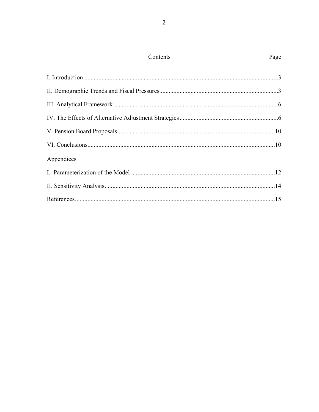|--|

| Appendices |  |
|------------|--|
|            |  |
|            |  |
|            |  |
|            |  |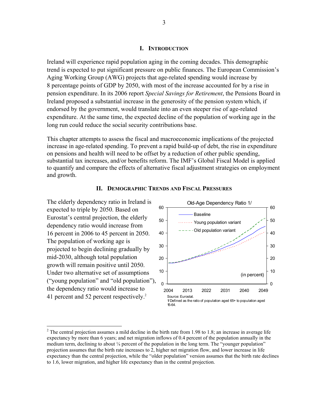#### **I. INTRODUCTION**

Ireland will experience rapid population aging in the coming decades. This demographic trend is expected to put significant pressure on public finances. The European Commission's Aging Working Group (AWG) projects that age-related spending would increase by 8 percentage points of GDP by 2050, with most of the increase accounted for by a rise in pension expenditure. In its 2006 report *Special Savings for Retirement*, the Pensions Board in Ireland proposed a substantial increase in the generosity of the pension system which, if endorsed by the government, would translate into an even steeper rise of age-related expenditure. At the same time, the expected decline of the population of working age in the long run could reduce the social security contributions base.

This chapter attempts to assess the fiscal and macroeconomic implications of the projected increase in age-related spending. To prevent a rapid build-up of debt, the rise in expenditure on pensions and health will need to be offset by a reduction of other public spending, substantial tax increases, and/or benefits reform. The IMF's Global Fiscal Model is applied to quantify and compare the effects of alternative fiscal adjustment strategies on employment and growth.



#### **II. DEMOGRAPHIC TRENDS AND FISCAL PRESSURES**

expected to triple by 2050. Based on

The population of working age is

mid-2030, although total population

<sup>&</sup>lt;sup>2</sup> The central projection assumes a mild decline in the birth rate from 1.98 to 1.8; an increase in average life expectancy by more than 6 years; and net migration inflows of 0.4 percent of the population annually in the medium term, declining to about ¼ percent of the population in the long term. The "younger population" projection assumes that the birth rate increases to 2, higher net migration flow, and lower increase in life expectancy than the central projection, while the "older population" version assumes that the birth rate declines to 1.6, lower migration, and higher life expectancy than in the central projection.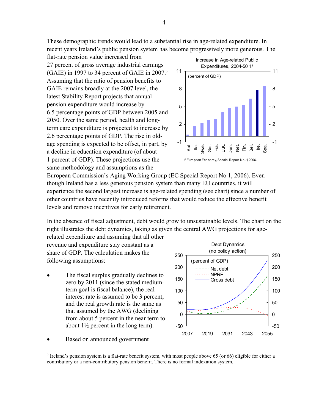These demographic trends would lead to a substantial rise in age-related expenditure. In recent years Ireland's public pension system has become progressively more generous. The

flat-rate pension value increased from 27 percent of gross average industrial earnings (GAIE) in 1997 to 34 percent of GAIE in 2007.3 Assuming that the ratio of pension benefits to GAIE remains broadly at the 2007 level, the latest Stability Report projects that annual pension expenditure would increase by 6.5 percentage points of GDP between 2005 and 2050. Over the same period, health and longterm care expenditure is projected to increase by 2.6 percentage points of GDP. The rise in oldage spending is expected to be offset, in part, by a decline in education expenditure (of about 1 percent of GDP). These projections use the same methodology and assumptions as the



European Commission's Aging Working Group (EC Special Report No 1, 2006). Even though Ireland has a less generous pension system than many EU countries, it will experience the second largest increase is age-related spending (see chart) since a number of other countries have recently introduced reforms that would reduce the effective benefit levels and remove incentives for early retirement.

In the absence of fiscal adjustment, debt would grow to unsustainable levels. The chart on the right illustrates the debt dynamics, taking as given the central AWG projections for agerelated expenditure and assuming that all other

revenue and expenditure stay constant as a share of GDP. The calculation makes the following assumptions:

The fiscal surplus gradually declines to zero by 2011 (since the stated mediumterm goal is fiscal balance), the real interest rate is assumed to be 3 percent, and the real growth rate is the same as that assumed by the AWG (declining from about 5 percent in the near term to about  $1\frac{1}{2}$  percent in the long term).



Based on announced government

 $3$  Ireland's pension system is a flat-rate benefit system, with most people above 65 (or 66) eligible for either a contributory or a non-contributory pension benefit. There is no formal indexation system.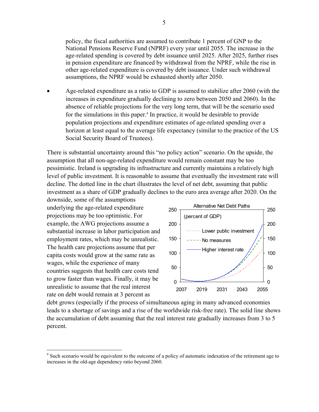policy, the fiscal authorities are assumed to contribute 1 percent of GNP to the National Pensions Reserve Fund (NPRF) every year until 2055. The increase in the age-related spending is covered by debt issuance until 2025. After 2025, further rises in pension expenditure are financed by withdrawal from the NPRF, while the rise in other age-related expenditure is covered by debt issuance. Under such withdrawal assumptions, the NPRF would be exhausted shortly after 2050.

• Age-related expenditure as a ratio to GDP is assumed to stabilize after 2060 (with the increases in expenditure gradually declining to zero between 2050 and 2060). In the absence of reliable projections for the very long term, that will be the scenario used for the simulations in this paper.<sup>4</sup> In practice, it would be desirable to provide population projections and expenditure estimates of age-related spending over a horizon at least equal to the average life expectancy (similar to the practice of the US Social Security Board of Trustees).

There is substantial uncertainty around this "no policy action" scenario. On the upside, the assumption that all non-age-related expenditure would remain constant may be too pessimistic. Ireland is upgrading its infrastructure and currently maintains a relatively high level of public investment. It is reasonable to assume that eventually the investment rate will decline. The dotted line in the chart illustrates the level of net debt, assuming that public investment as a share of GDP gradually declines to the euro area average after 2020. On the

downside, some of the assumptions underlying the age-related expenditure projections may be too optimistic. For example, the AWG projections assume a substantial increase in labor participation and employment rates, which may be unrealistic. The health care projections assume that per capita costs would grow at the same rate as wages, while the experience of many countries suggests that health care costs tend to grow faster than wages. Finally, it may be unrealistic to assume that the real interest rate on debt would remain at 3 percent as

 $\overline{a}$ 



debt grows (especially if the process of simultaneous aging in many advanced economies leads to a shortage of savings and a rise of the worldwide risk-free rate). The solid line shows the accumulation of debt assuming that the real interest rate gradually increases from 3 to 5 percent.

<sup>&</sup>lt;sup>4</sup> Such scenario would be equivalent to the outcome of a policy of automatic indexation of the retirement age to increases in the old-age dependency ratio beyond 2060.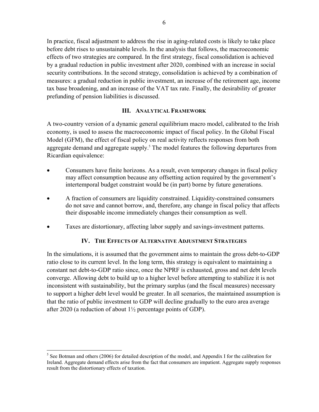In practice, fiscal adjustment to address the rise in aging-related costs is likely to take place before debt rises to unsustainable levels. In the analysis that follows, the macroeconomic effects of two strategies are compared. In the first strategy, fiscal consolidation is achieved by a gradual reduction in public investment after 2020, combined with an increase in social security contributions. In the second strategy, consolidation is achieved by a combination of measures: a gradual reduction in public investment, an increase of the retirement age, income tax base broadening, and an increase of the VAT tax rate. Finally, the desirability of greater prefunding of pension liabilities is discussed.

## **III. ANALYTICAL FRAMEWORK**

A two-country version of a dynamic general equilibrium macro model, calibrated to the Irish economy, is used to assess the macroeconomic impact of fiscal policy. In the Global Fiscal Model (GFM), the effect of fiscal policy on real activity reflects responses from both aggregate demand and aggregate supply.<sup>5</sup> The model features the following departures from Ricardian equivalence:

- Consumers have finite horizons. As a result, even temporary changes in fiscal policy may affect consumption because any offsetting action required by the government's intertemporal budget constraint would be (in part) borne by future generations.
- A fraction of consumers are liquidity constrained. Liquidity-constrained consumers do not save and cannot borrow, and, therefore, any change in fiscal policy that affects their disposable income immediately changes their consumption as well.
- Taxes are distortionary, affecting labor supply and savings-investment patterns.

## **IV. THE EFFECTS OF ALTERNATIVE ADJUSTMENT STRATEGIES**

In the simulations, it is assumed that the government aims to maintain the gross debt-to-GDP ratio close to its current level. In the long term, this strategy is equivalent to maintaining a constant net debt-to-GDP ratio since, once the NPRF is exhausted, gross and net debt levels converge. Allowing debt to build up to a higher level before attempting to stabilize it is not inconsistent with sustainability, but the primary surplus (and the fiscal measures) necessary to support a higher debt level would be greater. In all scenarios, the maintained assumption is that the ratio of public investment to GDP will decline gradually to the euro area average after 2020 (a reduction of about  $1\frac{1}{2}$  percentage points of GDP).

<sup>&</sup>lt;sup>5</sup> See Botman and others (2006) for detailed description of the model, and Appendix I for the calibration for Ireland. Aggregate demand effects arise from the fact that consumers are impatient. Aggregate supply responses result from the distortionary effects of taxation.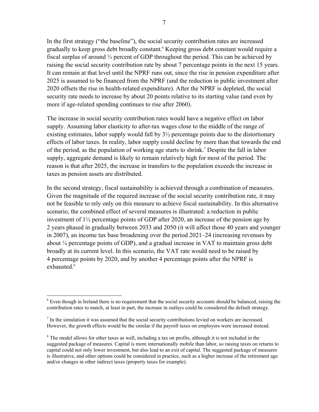In the first strategy ("the baseline"), the social security contribution rates are increased gradually to keep gross debt broadly constant.<sup>6</sup> Keeping gross debt constant would require a fiscal surplus of around ⅓ percent of GDP throughout the period. This can be achieved by raising the social security contribution rate by about 7 percentage points in the next 15 years. It can remain at that level until the NPRF runs out, since the rise in pension expenditure after 2025 is assumed to be financed from the NPRF (and the reduction in public investment after 2020 offsets the rise in health-related expenditure). After the NPRF is depleted, the social security rate needs to increase by about 20 points relative to its starting value (and even by more if age-related spending continues to rise after 2060).

The increase in social security contribution rates would have a negative effect on labor supply. Assuming labor elasticity to after-tax wages close to the middle of the range of existing estimates, labor supply would fall by  $3\frac{1}{2}$  percentage points due to the distortionary effects of labor taxes. In reality, labor supply could decline by more than that towards the end of the period, as the population of working age starts to shrink.<sup>7</sup> Despite the fall in labor supply, aggregate demand is likely to remain relatively high for most of the period. The reason is that after 2025, the increase in transfers to the population exceeds the increase in taxes as pension assets are distributed.

In the second strategy, fiscal sustainability is achieved through a combination of measures. Given the magnitude of the required increase of the social security contribution rate, it may not be feasible to rely only on this measure to achieve fiscal sustainability. In this alternative scenario, the combined effect of several measures is illustrated: a reduction in public investment of 1½ percentage points of GDP after 2020, an increase of the pension age by 2 years phased in gradually between 2033 and 2050 (it will affect those 40 years and younger in 2007), an income tax base broadening over the period 2021–24 (increasing revenues by about ¼ percentage points of GDP), and a gradual increase in VAT to maintain gross debt broadly at its current level. In this scenario, the VAT rate would need to be raised by 4 percentage points by 2020, and by another 4 percentage points after the NPRF is exhausted.<sup>8</sup>

<sup>1</sup> <sup>6</sup> Even though in Ireland there is no requirement that the social security accounts should be balanced, raising the contribution rates to match, at least in part, the increase in outlays could be considered the default strategy.

 $<sup>7</sup>$  In the simulation it was assumed that the social security contributions levied on workers are increased.</sup> However, the growth effects would be the similar if the payroll taxes on employers were increased instead.

 $8$  The model allows for other taxes as well, including a tax on profits, although it is not included in the suggested package of measures. Capital is more internationally mobile than labor, so raising taxes on returns to capital could not only lower investment, but also lead to an exit of capital. The suggested package of measures is illustrative, and other options could be considered in practice, such as a higher increase of the retirement age and/or changes in other indirect taxes (property taxes for example).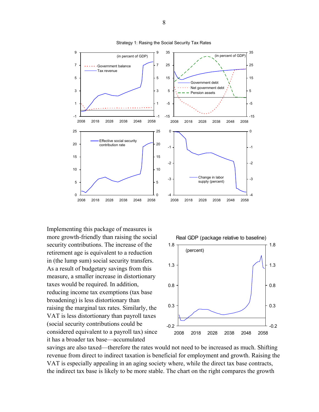

Strategy 1: Rasing the Social Security Tax Rates

Implementing this package of measures is more growth-friendly than raising the social security contributions. The increase of the retirement age is equivalent to a reduction in (the lump sum) social security transfers. As a result of budgetary savings from this measure, a smaller increase in distortionary taxes would be required. In addition, reducing income tax exemptions (tax base broadening) is less distortionary than raising the marginal tax rates. Similarly, the VAT is less distortionary than payroll taxes (social security contributions could be considered equivalent to a payroll tax) since it has a broader tax base—accumulated



-4

-3

-2

-1

0

-15

-5

5

15

25

35

savings are also taxed—therefore the rates would not need to be increased as much. Shifting revenue from direct to indirect taxation is beneficial for employment and growth. Raising the VAT is especially appealing in an aging society where, while the direct tax base contracts, the indirect tax base is likely to be more stable. The chart on the right compares the growth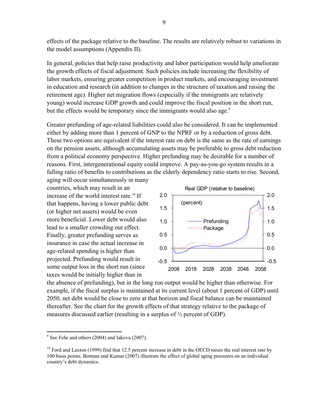effects of the package relative to the baseline. The results are relatively robust to variations in the model assumptions (Appendix II).

In general, policies that help raise productivity and labor participation would help ameliorate the growth effects of fiscal adjustment. Such policies include increasing the flexibility of labor markets, ensuring greater competition in product markets, and encouraging investment in education and research (in addition to changes in the structure of taxation and raising the retirement age). Higher net migration flows (especially if the immigrants are relatively young) would increase GDP growth and could improve the fiscal position in the short run, but the effects would be temporary since the immigrants would also age.<sup>9</sup>

Greater prefunding of age-related liabilities could also be considered. It can be implemented either by adding more than 1 percent of GNP to the NPRF or by a reduction of gross debt. These two options are equivalent if the interest rate on debt is the same as the rate of earnings on the pension assets, although accumulating assets may be preferable to gross debt reduction from a political economy perspective. Higher prefunding may be desirable for a number of reasons. First, intergenerational equity could improve. A pay-as-you-go system results in a falling ratio of benefits to contributions as the elderly dependency ratio starts to rise. Second,

aging will occur simultaneously in many countries, which may result in an increase of the world interest rate.<sup>10</sup> If that happens, having a lower public debt (or higher net assets) would be even more beneficial. Lower debt would also lead to a smaller crowding out effect. Finally, greater prefunding serves as insurance in case the actual increase in age-related spending is higher than projected. Prefunding would result in some output loss in the short run (since taxes would be initially higher than in



the absence of prefunding), but in the long run output would be higher than otherwise. For example, if the fiscal surplus is maintained at its current level (about 1 percent of GDP) until 2050, net debt would be close to zero at that horizon and fiscal balance can be maintained thereafter. See the chart for the growth effects of that strategy relative to the package of measures discussed earlier (resulting in a surplus of ⅓ percent of GDP).

 $9^9$  See Fehr and others (2004) and Iakova (2007).

 $10$  Ford and Laxton (1999) find that 12.5 percent increase in debt in the OECD raises the real interest rate by 100 basis points. Botman and Kumar (2007) illustrate the effect of global aging pressures on an individual country's debt dynamics.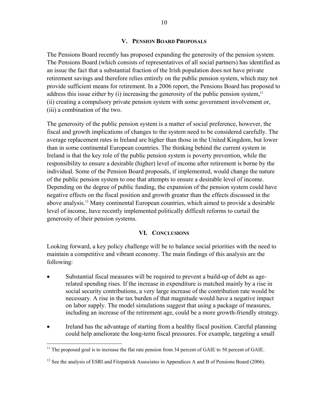## **V. PENSION BOARD PROPOSALS**

The Pensions Board recently has proposed expanding the generosity of the pension system. The Pensions Board (which consists of representatives of all social partners) has identified as an issue the fact that a substantial fraction of the Irish population does not have private retirement savings and therefore relies entirely on the public pension system, which may not provide sufficient means for retirement. In a 2006 report, the Pensions Board has proposed to address this issue either by (i) increasing the generosity of the public pension system,  $\frac{11}{11}$ (ii) creating a compulsory private pension system with some government involvement or, (iii) a combination of the two.

The generosity of the public pension system is a matter of social preference, however, the fiscal and growth implications of changes to the system need to be considered carefully. The average replacement rates in Ireland are higher than those in the United Kingdom, but lower than in some continental European countries. The thinking behind the current system in Ireland is that the key role of the public pension system is poverty prevention, while the responsibility to ensure a desirable (higher) level of income after retirement is borne by the individual. Some of the Pension Board proposals, if implemented, would change the nature of the public pension system to one that attempts to ensure a desirable level of income. Depending on the degree of public funding, the expansion of the pension system could have negative effects on the fiscal position and growth greater than the effects discussed in the above analysis.12 Many continental European countries, which aimed to provide a desirable level of income, have recently implemented politically difficult reforms to curtail the generosity of their pension systems.

#### **VI. CONCLUSIONS**

Looking forward, a key policy challenge will be to balance social priorities with the need to maintain a competitive and vibrant economy. The main findings of this analysis are the following:

- Substantial fiscal measures will be required to prevent a build-up of debt as agerelated spending rises. If the increase in expenditure is matched mainly by a rise in social security contributions, a very large increase of the contribution rate would be necessary. A rise in the tax burden of that magnitude would have a negative impact on labor supply. The model simulations suggest that using a package of measures, including an increase of the retirement age, could be a more growth-friendly strategy.
- Ireland has the advantage of starting from a healthy fiscal position. Careful planning could help ameliorate the long-term fiscal pressures. For example, targeting a small

<u>.</u>

<sup>&</sup>lt;sup>11</sup> The proposed goal is to increase the flat rate pension from 34 percent of GAIE to 50 percent of GAIE.

 $12$  See the analysis of ESRI and Fitzpatrick Associates in Appendices A and B of Pensions Board (2006).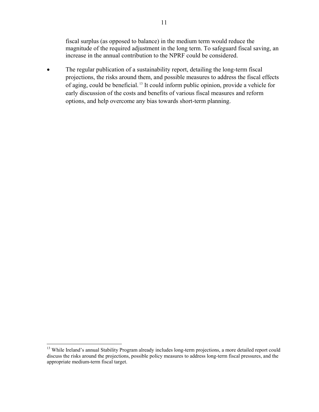fiscal surplus (as opposed to balance) in the medium term would reduce the magnitude of the required adjustment in the long term. To safeguard fiscal saving, an increase in the annual contribution to the NPRF could be considered.

• The regular publication of a sustainability report, detailing the long-term fiscal projections, the risks around them, and possible measures to address the fiscal effects of aging, could be beneficial. 13 It could inform public opinion, provide a vehicle for early discussion of the costs and benefits of various fiscal measures and reform options, and help overcome any bias towards short-term planning.

1

<sup>&</sup>lt;sup>13</sup> While Ireland's annual Stability Program already includes long-term projections, a more detailed report could discuss the risks around the projections, possible policy measures to address long-term fiscal pressures, and the appropriate medium-term fiscal target.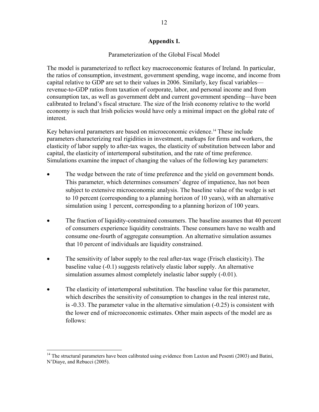#### **Appendix I.**

## Parameterization of the Global Fiscal Model

The model is parameterized to reflect key macroeconomic features of Ireland. In particular, the ratios of consumption, investment, government spending, wage income, and income from capital relative to GDP are set to their values in 2006. Similarly, key fiscal variables revenue-to-GDP ratios from taxation of corporate, labor, and personal income and from consumption tax, as well as government debt and current government spending—have been calibrated to Ireland's fiscal structure. The size of the Irish economy relative to the world economy is such that Irish policies would have only a minimal impact on the global rate of interest.

Key behavioral parameters are based on microeconomic evidence.14 These include parameters characterizing real rigidities in investment, markups for firms and workers, the elasticity of labor supply to after-tax wages, the elasticity of substitution between labor and capital, the elasticity of intertemporal substitution, and the rate of time preference. Simulations examine the impact of changing the values of the following key parameters:

- The wedge between the rate of time preference and the yield on government bonds. This parameter, which determines consumers' degree of impatience, has not been subject to extensive microeconomic analysis. The baseline value of the wedge is set to 10 percent (corresponding to a planning horizon of 10 years), with an alternative simulation using 1 percent, corresponding to a planning horizon of 100 years.
- The fraction of liquidity-constrained consumers. The baseline assumes that 40 percent of consumers experience liquidity constraints. These consumers have no wealth and consume one-fourth of aggregate consumption. An alternative simulation assumes that 10 percent of individuals are liquidity constrained.
- The sensitivity of labor supply to the real after-tax wage (Frisch elasticity). The baseline value (-0.1) suggests relatively elastic labor supply. An alternative simulation assumes almost completely inelastic labor supply  $(-0.01)$ .
- The elasticity of intertemporal substitution. The baseline value for this parameter, which describes the sensitivity of consumption to changes in the real interest rate, is -0.33. The parameter value in the alternative simulation (-0.25) is consistent with the lower end of microeconomic estimates. Other main aspects of the model are as follows:

<sup>&</sup>lt;sup>14</sup> The structural parameters have been calibrated using evidence from Laxton and Pesenti (2003) and Batini, N'Diaye, and Rebucci (2005).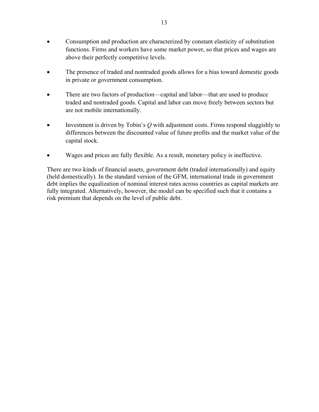- Consumption and production are characterized by constant elasticity of substitution functions. Firms and workers have some market power, so that prices and wages are above their perfectly competitive levels.
- The presence of traded and nontraded goods allows for a bias toward domestic goods in private or government consumption.
- There are two factors of production—capital and labor—that are used to produce traded and nontraded goods. Capital and labor can move freely between sectors but are not mobile internationally.
- Investment is driven by Tobin's Q with adjustment costs. Firms respond sluggishly to differences between the discounted value of future profits and the market value of the capital stock.
- Wages and prices are fully flexible. As a result, monetary policy is ineffective.

There are two kinds of financial assets, government debt (traded internationally) and equity (held domestically). In the standard version of the GFM, international trade in government debt implies the equalization of nominal interest rates across countries as capital markets are fully integrated. Alternatively, however, the model can be specified such that it contains a risk premium that depends on the level of public debt.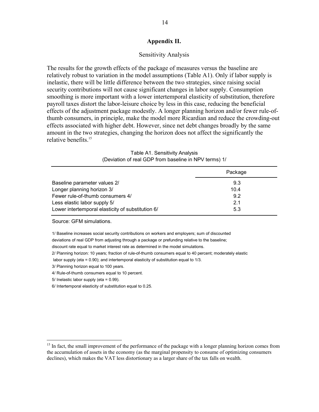#### **Appendix II.**

#### Sensitivity Analysis

The results for the growth effects of the package of measures versus the baseline are relatively robust to variation in the model assumptions (Table A1). Only if labor supply is inelastic, there will be little difference between the two strategies, since raising social security contributions will not cause significant changes in labor supply. Consumption smoothing is more important with a lower intertemporal elasticity of substitution, therefore payroll taxes distort the labor-leisure choice by less in this case, reducing the beneficial effects of the adjustment package modestly. A longer planning horizon and/or fewer rule-ofthumb consumers, in principle, make the model more Ricardian and reduce the crowding-out effects associated with higher debt. However, since net debt changes broadly by the same amount in the two strategies, changing the horizon does not affect the significantly the relative benefits.<sup>15</sup>

|                                                   | Package |
|---------------------------------------------------|---------|
| Baseline parameter values 2/                      | 9.3     |
| Longer planning horizon 3/                        | 10.4    |
| Fewer rule-of-thumb consumers 4/                  | 9.2     |
| Less elastic labor supply 5/                      | 21      |
| Lower intertemporal elasticity of substitution 6/ | 5.3     |

| Table A1. Sensitivity Analysis                        |
|-------------------------------------------------------|
| (Deviation of real GDP from baseline in NPV terms) 1/ |

Source: GFM simulations.

1/ Baseline increases social security contributions on workers and employers; sum of discounted

deviations of real GDP from adjusting through a package or prefunding relative to the baseline;

discount rate equal to market interest rate as determined in the model simulations.

2/ Planning horizon: 10 years; fraction of rule-of-thumb consumers equal to 40 percent; moderately elastic

labor supply (eta = 0.90); and intertemporal elasticity of substitution equal to 1/3.

3/ Planning horizon equal to 100 years.

4/ Rule-of-thumb consumers equal to 10 percent.

5/ Inelastic labor supply (eta = 0.99).

 $\overline{a}$ 

6/ Intertemporal elasticity of substitution equal to 0.25.

<sup>&</sup>lt;sup>15</sup> In fact, the small improvement of the performance of the package with a longer planning horizon comes from the accumulation of assets in the economy (as the marginal propensity to consume of optimizing consumers declines), which makes the VAT less distortionary as a larger share of the tax falls on wealth.